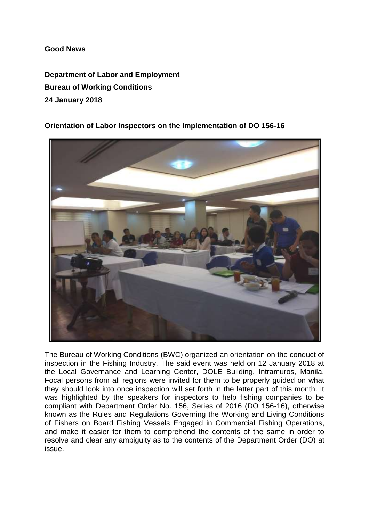## **Good News**

**Department of Labor and Employment Bureau of Working Conditions 24 January 2018**

**Orientation of Labor Inspectors on the Implementation of DO 156-16**



The Bureau of Working Conditions (BWC) organized an orientation on the conduct of inspection in the Fishing Industry. The said event was held on 12 January 2018 at the Local Governance and Learning Center, DOLE Building, Intramuros, Manila. Focal persons from all regions were invited for them to be properly guided on what they should look into once inspection will set forth in the latter part of this month. It was highlighted by the speakers for inspectors to help fishing companies to be compliant with Department Order No. 156, Series of 2016 (DO 156-16), otherwise known as the Rules and Regulations Governing the Working and Living Conditions of Fishers on Board Fishing Vessels Engaged in Commercial Fishing Operations, and make it easier for them to comprehend the contents of the same in order to resolve and clear any ambiguity as to the contents of the Department Order (DO) at issue.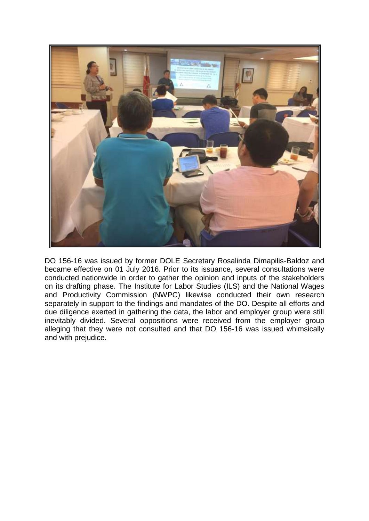

DO 156-16 was issued by former DOLE Secretary Rosalinda Dimapilis-Baldoz and became effective on 01 July 2016. Prior to its issuance, several consultations were conducted nationwide in order to gather the opinion and inputs of the stakeholders on its drafting phase. The Institute for Labor Studies (ILS) and the National Wages and Productivity Commission (NWPC) likewise conducted their own research separately in support to the findings and mandates of the DO. Despite all efforts and due diligence exerted in gathering the data, the labor and employer group were still inevitably divided. Several oppositions were received from the employer group alleging that they were not consulted and that DO 156-16 was issued whimsically and with prejudice.